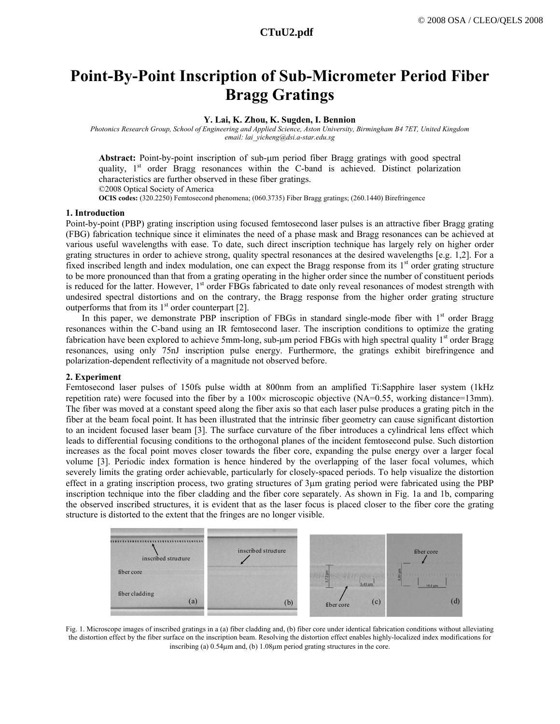# **Point-By-Point Inscription of Sub-Micrometer Period Fiber Bragg Gratings**

# **Y. Lai, K. Zhou, K. Sugden, I. Bennion**

*Photonics Research Group, School of Engineering and Applied Science, Aston University, Birmingham B4 7ET, United Kingdom email: lai\_yicheng@dsi.a-star.edu.sg* 

**Abstract:** Point-by-point inscription of sub-μm period fiber Bragg gratings with good spectral quality,  $1<sup>st</sup>$  order Bragg resonances within the C-band is achieved. Distinct polarization characteristics are further observed in these fiber gratings. ©2008 Optical Society of America

**OCIS codes:** (320.2250) Femtosecond phenomena; (060.3735) Fiber Bragg gratings; (260.1440) Birefringence

### **1. Introduction**

Point-by-point (PBP) grating inscription using focused femtosecond laser pulses is an attractive fiber Bragg grating (FBG) fabrication technique since it eliminates the need of a phase mask and Bragg resonances can be achieved at various useful wavelengths with ease. To date, such direct inscription technique has largely rely on higher order grating structures in order to achieve strong, quality spectral resonances at the desired wavelengths [e.g. 1,2]. For a fixed inscribed length and index modulation, one can expect the Bragg response from its  $1<sup>st</sup>$  order grating structure to be more pronounced than that from a grating operating in the higher order since the number of constituent periods is reduced for the latter. However, 1<sup>st</sup> order FBGs fabricated to date only reveal resonances of modest strength with undesired spectral distortions and on the contrary, the Bragg response from the higher order grating structure outperforms that from its  $1<sup>st</sup>$  order counterpart [2].

In this paper, we demonstrate PBP inscription of FBGs in standard single-mode fiber with  $1<sup>st</sup>$  order Bragg resonances within the C-band using an IR femtosecond laser. The inscription conditions to optimize the grating fabrication have been explored to achieve 5mm-long, sub-μm period FBGs with high spectral quality  $1<sup>st</sup>$  order Bragg resonances, using only 75nJ inscription pulse energy. Furthermore, the gratings exhibit birefringence and polarization-dependent reflectivity of a magnitude not observed before.

# **2. Experiment**

Femtosecond laser pulses of 150fs pulse width at 800nm from an amplified Ti:Sapphire laser system (1kHz repetition rate) were focused into the fiber by a  $100\times$  microscopic objective (NA=0.55, working distance=13mm). The fiber was moved at a constant speed along the fiber axis so that each laser pulse produces a grating pitch in the fiber at the beam focal point. It has been illustrated that the intrinsic fiber geometry can cause significant distortion to an incident focused laser beam [3]. The surface curvature of the fiber introduces a cylindrical lens effect which leads to differential focusing conditions to the orthogonal planes of the incident femtosecond pulse. Such distortion increases as the focal point moves closer towards the fiber core, expanding the pulse energy over a larger focal volume [3]. Periodic index formation is hence hindered by the overlapping of the laser focal volumes, which severely limits the grating order achievable, particularly for closely-spaced periods. To help visualize the distortion effect in a grating inscription process, two grating structures of 3μm grating period were fabricated using the PBP inscription technique into the fiber cladding and the fiber core separately. As shown in Fig. 1a and 1b, comparing the observed inscribed structures, it is evident that as the laser focus is placed closer to the fiber core the grating structure is distorted to the extent that the fringes are no longer visible.



Fig. 1. Microscope images of inscribed gratings in a (a) fiber cladding and, (b) fiber core under identical fabrication conditions without alleviating the distortion effect by the fiber surface on the inscription beam. Resolving the distortion effect enables highly-localized index modifications for inscribing (a) 0.54μm and, (b) 1.08μm period grating structures in the core.